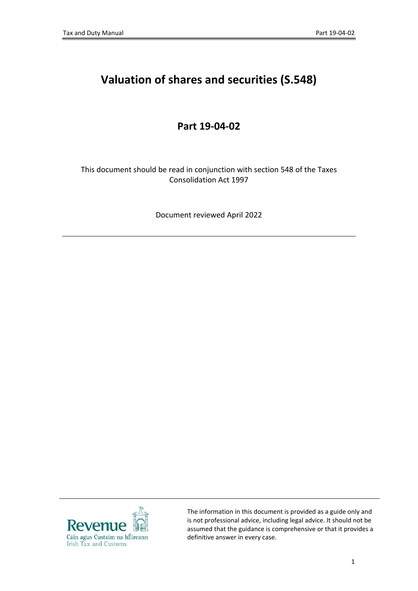# **Valuation of shares and securities (S.548)**

## **Part 19-04-02**

This document should be read in conjunction with section 548 of the Taxes Consolidation Act 1997

Document reviewed April 2022



The information in this document is provided as a guide only and is not professional advice, including legal advice. It should not be assumed that the guidance is comprehensive or that it provides a definitive answer in every case.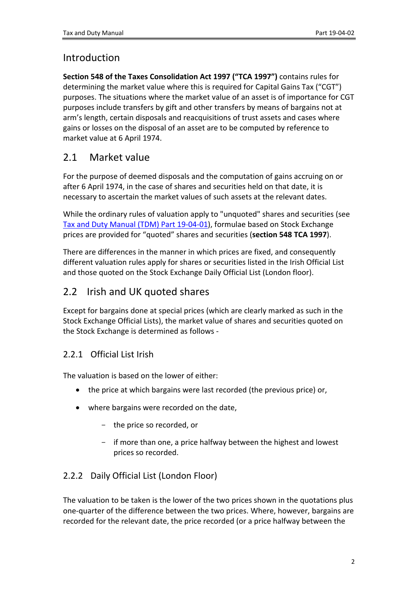## Introduction

**Section 548 of the Taxes Consolidation Act 1997 ("TCA 1997")** contains rules for determining the market value where this is required for Capital Gains Tax ("CGT") purposes. The situations where the market value of an asset is of importance for CGT purposes include transfers by gift and other transfers by means of bargains not at arm's length, certain disposals and reacquisitions of trust assets and cases where gains or losses on the disposal of an asset are to be computed by reference to market value at 6 April 1974.

## 2.1 Market value

For the purpose of deemed disposals and the computation of gains accruing on or after 6 April 1974, in the case of shares and securities held on that date, it is necessary to ascertain the market values of such assets at the relevant dates.

While the ordinary rules of valuation apply to "unquoted" shares and securities (see [Tax](https://www.revenue.ie/en/tax-professionals/tdm/income-tax-capital-gains-tax-corporation-tax/part-19/19-04-01.pdf) [and](https://www.revenue.ie/en/tax-professionals/tdm/income-tax-capital-gains-tax-corporation-tax/part-19/19-04-01.pdf) [Duty](https://www.revenue.ie/en/tax-professionals/tdm/income-tax-capital-gains-tax-corporation-tax/part-19/19-04-01.pdf) [Manual](https://www.revenue.ie/en/tax-professionals/tdm/income-tax-capital-gains-tax-corporation-tax/part-19/19-04-01.pdf) [\(TDM\)](https://www.revenue.ie/en/tax-professionals/tdm/income-tax-capital-gains-tax-corporation-tax/part-19/19-04-01.pdf) [Part](https://www.revenue.ie/en/tax-professionals/tdm/income-tax-capital-gains-tax-corporation-tax/part-19/19-04-01.pdf) [19-04-01](https://www.revenue.ie/en/tax-professionals/tdm/income-tax-capital-gains-tax-corporation-tax/part-19/19-04-01.pdf)), formulae based on Stock Exchange prices are provided for "quoted" shares and securities (**section 548 TCA 1997**).

There are differences in the manner in which prices are fixed, and consequently different valuation rules apply for shares or securities listed in the Irish Official List and those quoted on the Stock Exchange Daily Official List (London floor).

# 2.2 Irish and UK quoted shares

Except for bargains done at special prices (which are clearly marked as such in the Stock Exchange Official Lists), the market value of shares and securities quoted on the Stock Exchange is determined as follows -

#### 2.2.1 Official List Irish

The valuation is based on the lower of either:

- the price at which bargains were last recorded (the previous price) or,
- where bargains were recorded on the date,
	- the price so recorded, or
	- if more than one, a price halfway between the highest and lowest prices so recorded.

#### 2.2.2 Daily Official List (London Floor)

The valuation to be taken is the lower of the two prices shown in the quotations plus one-quarter of the difference between the two prices. Where, however, bargains are recorded for the relevant date, the price recorded (or a price halfway between the